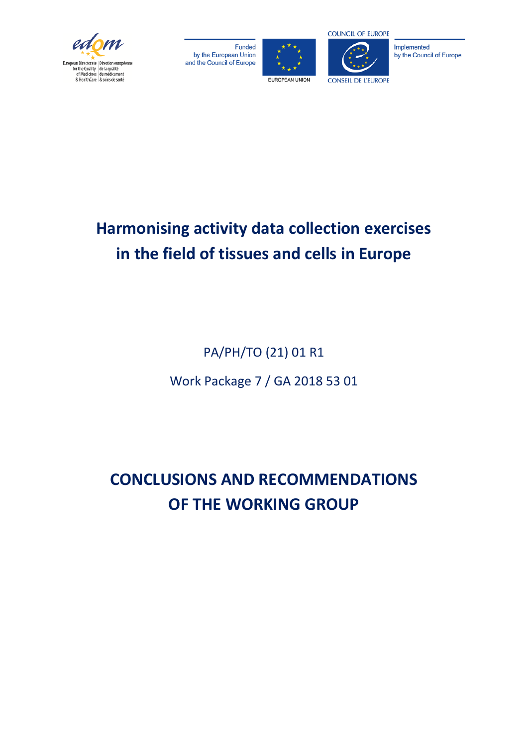

Funded by the European Union and the Council of Europe





Implemented by the Council of Europe

# **Harmonising activity data collection exercises in the field of tissues and cells in Europe**

PA/PH/TO (21) 01 R1

Work Package 7 / GA 2018 53 01

**CONCLUSIONS AND RECOMMENDATIONS OF THE WORKING GROUP**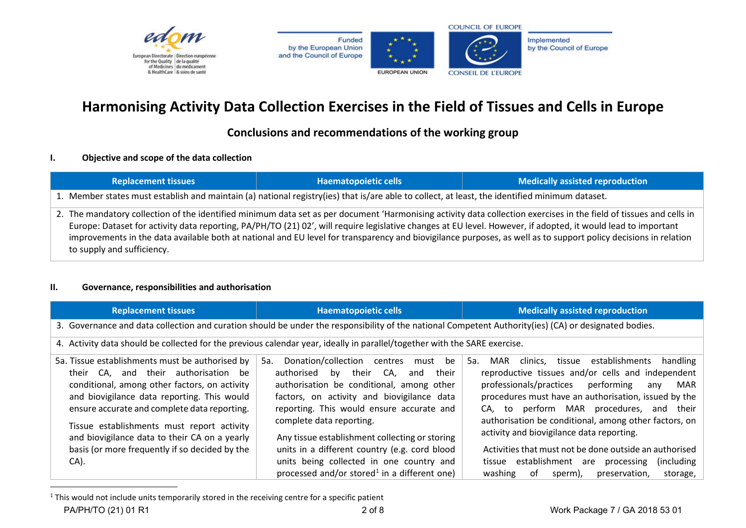



<span id="page-1-0"></span>

# **Harmonising Activity Data Collection Exercises in the Field of Tissues and Cells in Europe**

# **Conclusions and recommendations of the working group**

#### **I. Objective and scope of the data collection**

| <b>Replacement tissues</b> | <b>Haematopoietic cells</b>                                                                                                                    | <b>Medically assisted reproduction</b>                                                                                                                                                                                                                                                                                                                                                                                                                                                                  |  |
|----------------------------|------------------------------------------------------------------------------------------------------------------------------------------------|---------------------------------------------------------------------------------------------------------------------------------------------------------------------------------------------------------------------------------------------------------------------------------------------------------------------------------------------------------------------------------------------------------------------------------------------------------------------------------------------------------|--|
|                            | 1. Member states must establish and maintain (a) national registry(ies) that is/are able to collect, at least, the identified minimum dataset. |                                                                                                                                                                                                                                                                                                                                                                                                                                                                                                         |  |
| to supply and sufficiency. |                                                                                                                                                | 2. The mandatory collection of the identified minimum data set as per document 'Harmonising activity data collection exercises in the field of tissues and cells in<br>Europe: Dataset for activity data reporting, PA/PH/TO (21) 02', will require legislative changes at EU level. However, if adopted, it would lead to important<br>improvements in the data available both at national and EU level for transparency and biovigilance purposes, as well as to support policy decisions in relation |  |

#### **II. Governance, responsibilities and authorisation**

| <b>Replacement tissues</b>                                                                                                                                                                                                                                                                                                                | <b>Haematopoietic cells</b>                                                                                                                                                                                                                                                                                                | <b>Medically assisted reproduction</b>                                                                                                                                                                                                                                                                                                                                               |
|-------------------------------------------------------------------------------------------------------------------------------------------------------------------------------------------------------------------------------------------------------------------------------------------------------------------------------------------|----------------------------------------------------------------------------------------------------------------------------------------------------------------------------------------------------------------------------------------------------------------------------------------------------------------------------|--------------------------------------------------------------------------------------------------------------------------------------------------------------------------------------------------------------------------------------------------------------------------------------------------------------------------------------------------------------------------------------|
| 3. Governance and data collection and curation should be under the responsibility of the national Competent Authority(ies) (CA) or designated bodies.                                                                                                                                                                                     |                                                                                                                                                                                                                                                                                                                            |                                                                                                                                                                                                                                                                                                                                                                                      |
| 4. Activity data should be collected for the previous calendar year, ideally in parallel/together with the SARE exercise.                                                                                                                                                                                                                 |                                                                                                                                                                                                                                                                                                                            |                                                                                                                                                                                                                                                                                                                                                                                      |
| 5a. Tissue establishments must be authorised by<br>their CA, and their authorisation<br>be<br>conditional, among other factors, on activity<br>and biovigilance data reporting. This would<br>ensure accurate and complete data reporting.<br>Tissue establishments must report activity<br>and biovigilance data to their CA on a yearly | Donation/collection centres<br>5a.<br>be<br>must<br>their<br>their<br>bv<br>CA.<br>authorised<br>and<br>authorisation be conditional, among other<br>factors, on activity and biovigilance data<br>reporting. This would ensure accurate and<br>complete data reporting.<br>Any tissue establishment collecting or storing | establishments<br>5a.<br>tissue<br>handling<br>clinics,<br>MAR<br>reproductive tissues and/or cells and independent<br>professionals/practices<br>performing<br>MAR<br>any<br>procedures must have an authorisation, issued by the<br>CA, to perform MAR procedures, and their<br>authorisation be conditional, among other factors, on<br>activity and biovigilance data reporting. |
| basis (or more frequently if so decided by the<br>$CA$ ).                                                                                                                                                                                                                                                                                 | units in a different country (e.g. cord blood<br>units being collected in one country and<br>processed and/or stored <sup>1</sup> in a different one)                                                                                                                                                                      | Activities that must not be done outside an authorised<br>tissue establishment are<br>(including)<br>processing<br>washing<br>.of<br>preservation,<br>sperm),<br>storage,                                                                                                                                                                                                            |

<sup>1</sup> This would not include units temporarily stored in the receiving centre for a specific patient PA/PH/TO (21) 01 R1 2 of 8 2018 53 01 2 of 8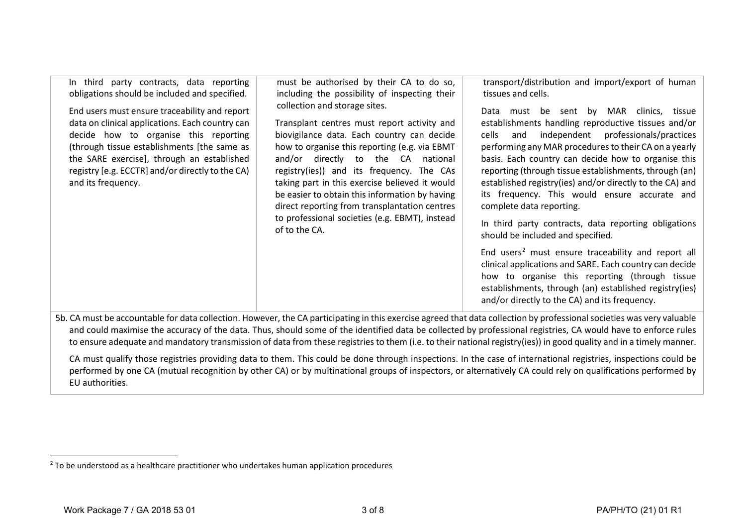<span id="page-2-0"></span>

| party contracts, data reporting<br>In third<br>obligations should be included and specified.<br>End users must ensure traceability and report<br>data on clinical applications. Each country can<br>decide how to organise this reporting<br>(through tissue establishments [the same as<br>the SARE exercise], through an established<br>registry [e.g. ECCTR] and/or directly to the CA)<br>and its frequency. | must be authorised by their CA to do so,<br>including the possibility of inspecting their<br>collection and storage sites.<br>Transplant centres must report activity and<br>biovigilance data. Each country can decide<br>how to organise this reporting (e.g. via EBMT<br>and/or directly to the CA national<br>registry(ies)) and its frequency. The CAs<br>taking part in this exercise believed it would<br>be easier to obtain this information by having<br>direct reporting from transplantation centres<br>to professional societies (e.g. EBMT), instead<br>of to the CA. | transport/distribution and import/export of human<br>tissues and cells.<br>MAR clinics,<br>Data must be sent by<br>tissue<br>establishments handling reproductive tissues and/or<br>and independent professionals/practices<br>cells<br>performing any MAR procedures to their CA on a yearly<br>basis. Each country can decide how to organise this<br>reporting (through tissue establishments, through (an)<br>established registry(ies) and/or directly to the CA) and<br>its frequency. This would ensure accurate and<br>complete data reporting.<br>In third party contracts, data reporting obligations<br>should be included and specified.<br>End users <sup>2</sup> must ensure traceability and report all<br>clinical applications and SARE. Each country can decide<br>how to organise this reporting (through tissue<br>establishments, through (an) established registry(ies)<br>and/or directly to the CA) and its frequency. |
|------------------------------------------------------------------------------------------------------------------------------------------------------------------------------------------------------------------------------------------------------------------------------------------------------------------------------------------------------------------------------------------------------------------|-------------------------------------------------------------------------------------------------------------------------------------------------------------------------------------------------------------------------------------------------------------------------------------------------------------------------------------------------------------------------------------------------------------------------------------------------------------------------------------------------------------------------------------------------------------------------------------|------------------------------------------------------------------------------------------------------------------------------------------------------------------------------------------------------------------------------------------------------------------------------------------------------------------------------------------------------------------------------------------------------------------------------------------------------------------------------------------------------------------------------------------------------------------------------------------------------------------------------------------------------------------------------------------------------------------------------------------------------------------------------------------------------------------------------------------------------------------------------------------------------------------------------------------------|
|                                                                                                                                                                                                                                                                                                                                                                                                                  |                                                                                                                                                                                                                                                                                                                                                                                                                                                                                                                                                                                     | 5b. CA must be accountable for data collection. However, the CA participating in this exercise agreed that data collection by professional societies was very valuable<br>and could maximise the accuracy of the data. Thus, should some of the identified data be collected by professional registries, CA would have to enforce rules<br>to ensure adequate and mandatory transmission of data from these registries to them (i.e. to their national registry(ies)) in good quality and in a timely manner.                                                                                                                                                                                                                                                                                                                                                                                                                                  |

CA must qualify those registries providing data to them. This could be done through inspections. In the case of international registries, inspections could be performed by one CA (mutual recognition by other CA) or by multinational groups of inspectors, or alternatively CA could rely on qualifications performed by EU authorities.

 $\overline{a}$ 

 $2$  To be understood as a healthcare practitioner who undertakes human application procedures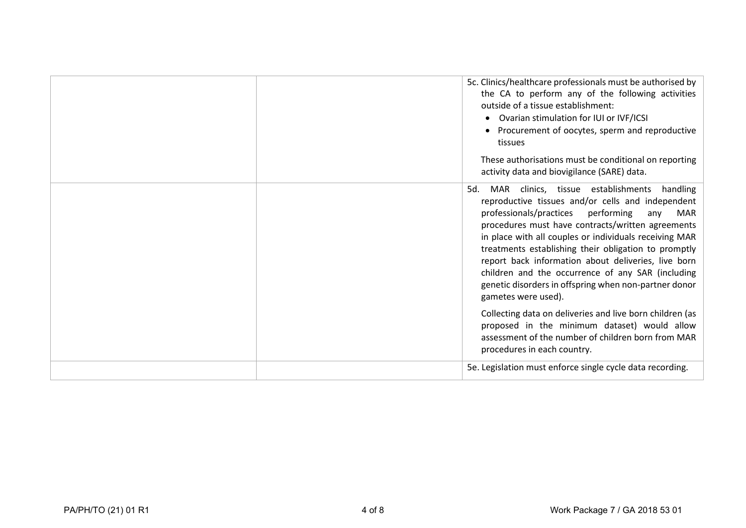|  | 5c. Clinics/healthcare professionals must be authorised by<br>the CA to perform any of the following activities<br>outside of a tissue establishment:<br>Ovarian stimulation for IUI or IVF/ICSI<br>Procurement of oocytes, sperm and reproductive<br>tissues<br>These authorisations must be conditional on reporting<br>activity data and biovigilance (SARE) data.                                                                                                                                                                   |
|--|-----------------------------------------------------------------------------------------------------------------------------------------------------------------------------------------------------------------------------------------------------------------------------------------------------------------------------------------------------------------------------------------------------------------------------------------------------------------------------------------------------------------------------------------|
|  | clinics, tissue establishments<br>handling<br>MAR<br>5d.<br>reproductive tissues and/or cells and independent<br>professionals/practices<br>performing<br>MAR<br>any<br>procedures must have contracts/written agreements<br>in place with all couples or individuals receiving MAR<br>treatments establishing their obligation to promptly<br>report back information about deliveries, live born<br>children and the occurrence of any SAR (including<br>genetic disorders in offspring when non-partner donor<br>gametes were used). |
|  | Collecting data on deliveries and live born children (as<br>proposed in the minimum dataset) would allow<br>assessment of the number of children born from MAR<br>procedures in each country.                                                                                                                                                                                                                                                                                                                                           |
|  | 5e. Legislation must enforce single cycle data recording.                                                                                                                                                                                                                                                                                                                                                                                                                                                                               |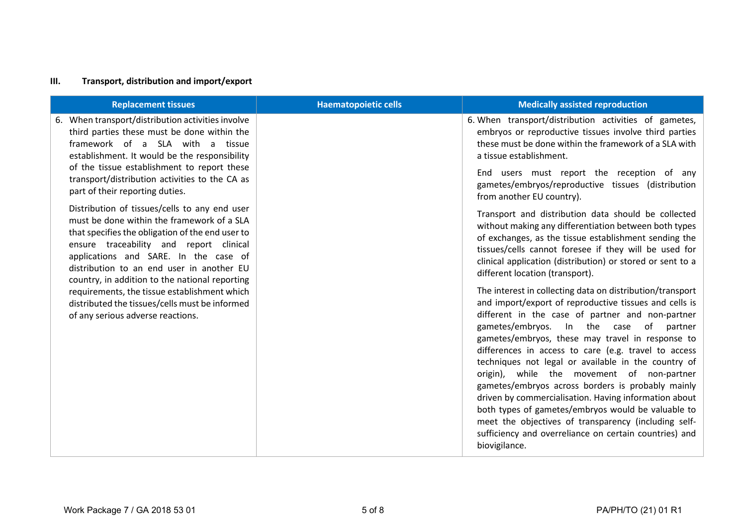## **III. Transport, distribution and import/export**

| <b>Replacement tissues</b>                                                                                                                                                                                                                                                                                                         | <b>Haematopoietic cells</b> | <b>Medically assisted reproduction</b>                                                                                                                                                                                                                                                                                                                                                                                                                                                                                                                                                                                                                                                                                                              |
|------------------------------------------------------------------------------------------------------------------------------------------------------------------------------------------------------------------------------------------------------------------------------------------------------------------------------------|-----------------------------|-----------------------------------------------------------------------------------------------------------------------------------------------------------------------------------------------------------------------------------------------------------------------------------------------------------------------------------------------------------------------------------------------------------------------------------------------------------------------------------------------------------------------------------------------------------------------------------------------------------------------------------------------------------------------------------------------------------------------------------------------------|
| When transport/distribution activities involve<br>third parties these must be done within the<br>framework of a SLA with a tissue<br>establishment. It would be the responsibility                                                                                                                                                 |                             | 6. When transport/distribution activities of gametes,<br>embryos or reproductive tissues involve third parties<br>these must be done within the framework of a SLA with<br>a tissue establishment.                                                                                                                                                                                                                                                                                                                                                                                                                                                                                                                                                  |
| of the tissue establishment to report these<br>transport/distribution activities to the CA as<br>part of their reporting duties.                                                                                                                                                                                                   |                             | End users must report the reception of any<br>gametes/embryos/reproductive tissues (distribution<br>from another EU country).                                                                                                                                                                                                                                                                                                                                                                                                                                                                                                                                                                                                                       |
| Distribution of tissues/cells to any end user<br>must be done within the framework of a SLA<br>that specifies the obligation of the end user to<br>ensure traceability and report clinical<br>applications and SARE. In the case of<br>distribution to an end user in another EU<br>country, in addition to the national reporting |                             | Transport and distribution data should be collected<br>without making any differentiation between both types<br>of exchanges, as the tissue establishment sending the<br>tissues/cells cannot foresee if they will be used for<br>clinical application (distribution) or stored or sent to a<br>different location (transport).                                                                                                                                                                                                                                                                                                                                                                                                                     |
| requirements, the tissue establishment which<br>distributed the tissues/cells must be informed<br>of any serious adverse reactions.                                                                                                                                                                                                |                             | The interest in collecting data on distribution/transport<br>and import/export of reproductive tissues and cells is<br>different in the case of partner and non-partner<br>gametes/embryos.<br>In the case<br>of<br>partner<br>gametes/embryos, these may travel in response to<br>differences in access to care (e.g. travel to access<br>techniques not legal or available in the country of<br>origin), while the movement of non-partner<br>gametes/embryos across borders is probably mainly<br>driven by commercialisation. Having information about<br>both types of gametes/embryos would be valuable to<br>meet the objectives of transparency (including self-<br>sufficiency and overreliance on certain countries) and<br>biovigilance. |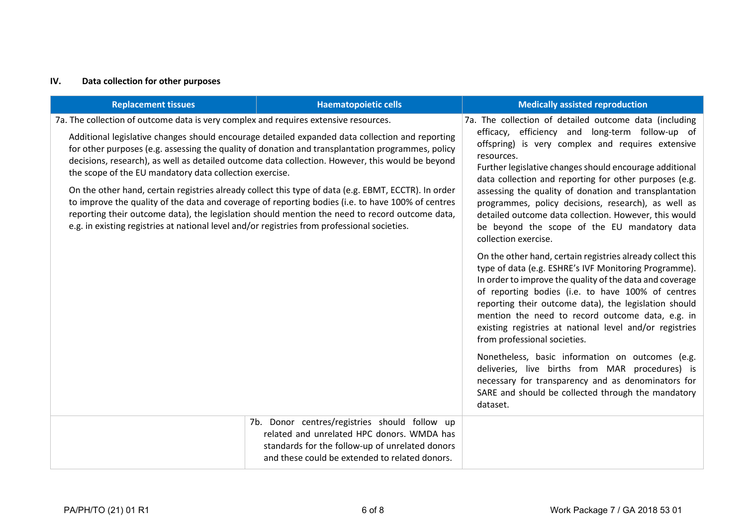## **IV. Data collection for other purposes**

| <b>Replacement tissues</b>                                                                                                                      | <b>Haematopoietic cells</b>                                                                                                                                                                                                                                                                                 | <b>Medically assisted reproduction</b>                                                                                                                                                                                                                                                                                                                                                                                                       |
|-------------------------------------------------------------------------------------------------------------------------------------------------|-------------------------------------------------------------------------------------------------------------------------------------------------------------------------------------------------------------------------------------------------------------------------------------------------------------|----------------------------------------------------------------------------------------------------------------------------------------------------------------------------------------------------------------------------------------------------------------------------------------------------------------------------------------------------------------------------------------------------------------------------------------------|
| 7a. The collection of outcome data is very complex and requires extensive resources.<br>the scope of the EU mandatory data collection exercise. | Additional legislative changes should encourage detailed expanded data collection and reporting<br>for other purposes (e.g. assessing the quality of donation and transplantation programmes, policy<br>decisions, research), as well as detailed outcome data collection. However, this would be beyond    | 7a. The collection of detailed outcome data (including<br>efficacy, efficiency and long-term follow-up of<br>offspring) is very complex and requires extensive<br>resources.<br>Further legislative changes should encourage additional<br>data collection and reporting for other purposes (e.g.                                                                                                                                            |
| e.g. in existing registries at national level and/or registries from professional societies.                                                    | On the other hand, certain registries already collect this type of data (e.g. EBMT, ECCTR). In order<br>to improve the quality of the data and coverage of reporting bodies (i.e. to have 100% of centres<br>reporting their outcome data), the legislation should mention the need to record outcome data, | assessing the quality of donation and transplantation<br>programmes, policy decisions, research), as well as<br>detailed outcome data collection. However, this would<br>be beyond the scope of the EU mandatory data<br>collection exercise.                                                                                                                                                                                                |
|                                                                                                                                                 |                                                                                                                                                                                                                                                                                                             | On the other hand, certain registries already collect this<br>type of data (e.g. ESHRE's IVF Monitoring Programme).<br>In order to improve the quality of the data and coverage<br>of reporting bodies (i.e. to have 100% of centres<br>reporting their outcome data), the legislation should<br>mention the need to record outcome data, e.g. in<br>existing registries at national level and/or registries<br>from professional societies. |
|                                                                                                                                                 |                                                                                                                                                                                                                                                                                                             | Nonetheless, basic information on outcomes (e.g.<br>deliveries, live births from MAR procedures) is<br>necessary for transparency and as denominators for<br>SARE and should be collected through the mandatory<br>dataset.                                                                                                                                                                                                                  |
|                                                                                                                                                 | 7b. Donor centres/registries should follow up<br>related and unrelated HPC donors. WMDA has<br>standards for the follow-up of unrelated donors<br>and these could be extended to related donors.                                                                                                            |                                                                                                                                                                                                                                                                                                                                                                                                                                              |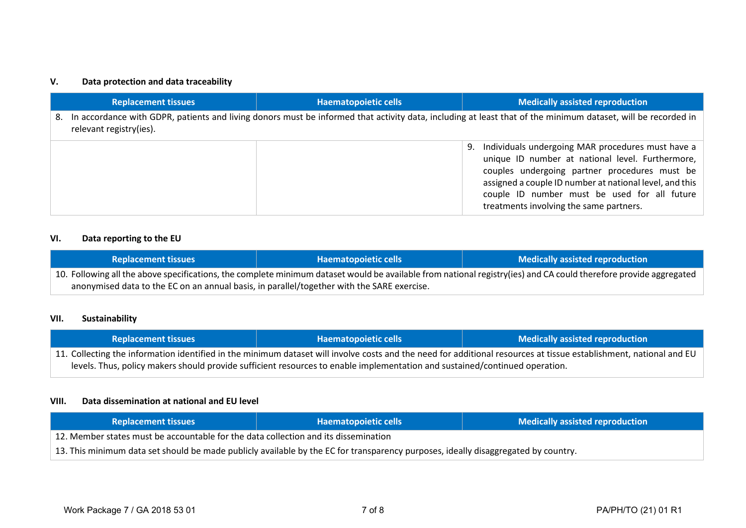#### **V. Data protection and data traceability**

|    | <b>Replacement tissues</b> | <b>Haematopoietic cells</b> | <b>Medically assisted reproduction</b>                                                                                                                                                                                                                                                                             |
|----|----------------------------|-----------------------------|--------------------------------------------------------------------------------------------------------------------------------------------------------------------------------------------------------------------------------------------------------------------------------------------------------------------|
| 8. | relevant registry(ies).    |                             | In accordance with GDPR, patients and living donors must be informed that activity data, including at least that of the minimum dataset, will be recorded in                                                                                                                                                       |
|    |                            |                             | Individuals undergoing MAR procedures must have a<br>9.<br>unique ID number at national level. Furthermore,<br>couples undergoing partner procedures must be<br>assigned a couple ID number at national level, and this<br>couple ID number must be used for all future<br>treatments involving the same partners. |

#### **VI. Data reporting to the EU**

| <b>Replacement tissues</b>                                                                                                                                        | <b>Haematopoietic cells</b> | <b>Medically assisted reproduction</b> |
|-------------------------------------------------------------------------------------------------------------------------------------------------------------------|-----------------------------|----------------------------------------|
| 10. Following all the above specifications, the complete minimum dataset would be available from national registry(ies) and CA could therefore provide aggregated |                             |                                        |
| anonymised data to the EC on an annual basis, in parallel/together with the SARE exercise.                                                                        |                             |                                        |

#### **VII. Sustainability**

| <b>Replacement tissues</b>                                                                                                                                         | Haematopoietic cells | <b>Medically assisted reproduction</b> |
|--------------------------------------------------------------------------------------------------------------------------------------------------------------------|----------------------|----------------------------------------|
| 11. Collecting the information identified in the minimum dataset will involve costs and the need for additional resources at tissue establishment, national and EU |                      |                                        |
| levels. Thus, policy makers should provide sufficient resources to enable implementation and sustained/continued operation.                                        |                      |                                        |

#### **VIII. Data dissemination at national and EU level**

| <b>Replacement tissues</b>                                                                                                         | <b>Haematopoietic cells</b> | <b>Medically assisted reproduction</b> |
|------------------------------------------------------------------------------------------------------------------------------------|-----------------------------|----------------------------------------|
| 12. Member states must be accountable for the data collection and its dissemination                                                |                             |                                        |
| 13. This minimum data set should be made publicly available by the EC for transparency purposes, ideally disaggregated by country. |                             |                                        |